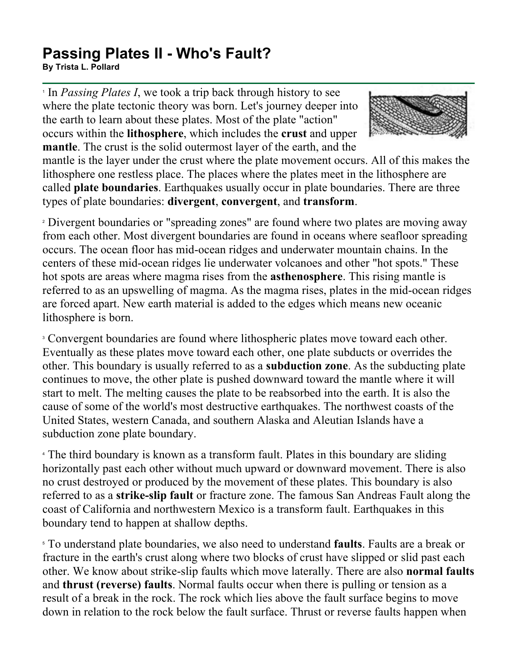## **Passing Plates II - Who's Fault?**

**By Trista L. Pollard**

<sup>1</sup> In *Passing Plates I*, we took a trip back through history to see where the plate tectonic theory was born. Let's journey deeper into the earth to learn about these plates. Most of the plate "action" occurs within the **lithosphere**, which includes the **crust** and upper **mantle**. The crust is the solid outermost layer of the earth, and the



mantle is the layer under the crust where the plate movement occurs. All of this makes the lithosphere one restless place. The places where the plates meet in the lithosphere are called **plate boundaries**. Earthquakes usually occur in plate boundaries. There are three types of plate boundaries: **divergent**, **convergent**, and **transform**.

<sup>2</sup> Divergent boundaries or "spreading zones" are found where two plates are moving away from each other. Most divergent boundaries are found in oceans where seafloor spreading occurs. The ocean floor has mid-ocean ridges and underwater mountain chains. In the centers of these mid-ocean ridges lie underwater volcanoes and other "hot spots." These hot spots are areas where magma rises from the **asthenosphere**. This rising mantle is referred to as an upswelling of magma. As the magma rises, plates in the mid-ocean ridges are forced apart. New earth material is added to the edges which means new oceanic lithosphere is born.

<sup>3</sup> Convergent boundaries are found where lithospheric plates move toward each other. Eventually as these plates move toward each other, one plate subducts or overrides the other. This boundary is usually referred to as a **subduction zone**. As the subducting plate continues to move, the other plate is pushed downward toward the mantle where it will start to melt. The melting causes the plate to be reabsorbed into the earth. It is also the cause of some of the world's most destructive earthquakes. The northwest coasts of the United States, western Canada, and southern Alaska and Aleutian Islands have a subduction zone plate boundary.

<sup>4</sup> The third boundary is known as a transform fault. Plates in this boundary are sliding horizontally past each other without much upward or downward movement. There is also no crust destroyed or produced by the movement of these plates. This boundary is also referred to as a **strike-slip fault** or fracture zone. The famous San Andreas Fault along the coast of California and northwestern Mexico is a transform fault. Earthquakes in this boundary tend to happen at shallow depths.

<sup>5</sup> To understand plate boundaries, we also need to understand **faults**. Faults are a break or fracture in the earth's crust along where two blocks of crust have slipped or slid past each other. We know about strike-slip faults which move laterally. There are also **normal faults** and **thrust (reverse) faults**. Normal faults occur when there is pulling or tension as a result of a break in the rock. The rock which lies above the fault surface begins to move down in relation to the rock below the fault surface. Thrust or reverse faults happen when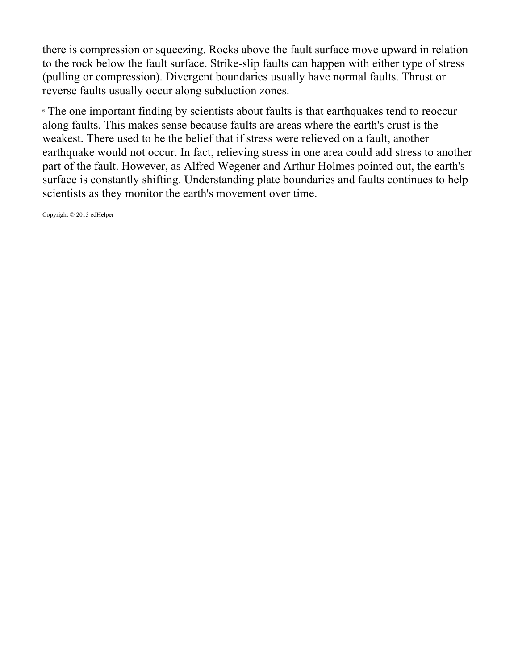there is compression or squeezing. Rocks above the fault surface move upward in relation to the rock below the fault surface. Strike-slip faults can happen with either type of stress (pulling or compression). Divergent boundaries usually have normal faults. Thrust or reverse faults usually occur along subduction zones.

<sup>6</sup> The one important finding by scientists about faults is that earthquakes tend to reoccur along faults. This makes sense because faults are areas where the earth's crust is the weakest. There used to be the belief that if stress were relieved on a fault, another earthquake would not occur. In fact, relieving stress in one area could add stress to another part of the fault. However, as Alfred Wegener and Arthur Holmes pointed out, the earth's surface is constantly shifting. Understanding plate boundaries and faults continues to help scientists as they monitor the earth's movement over time.

Copyright © 2013 edHelper